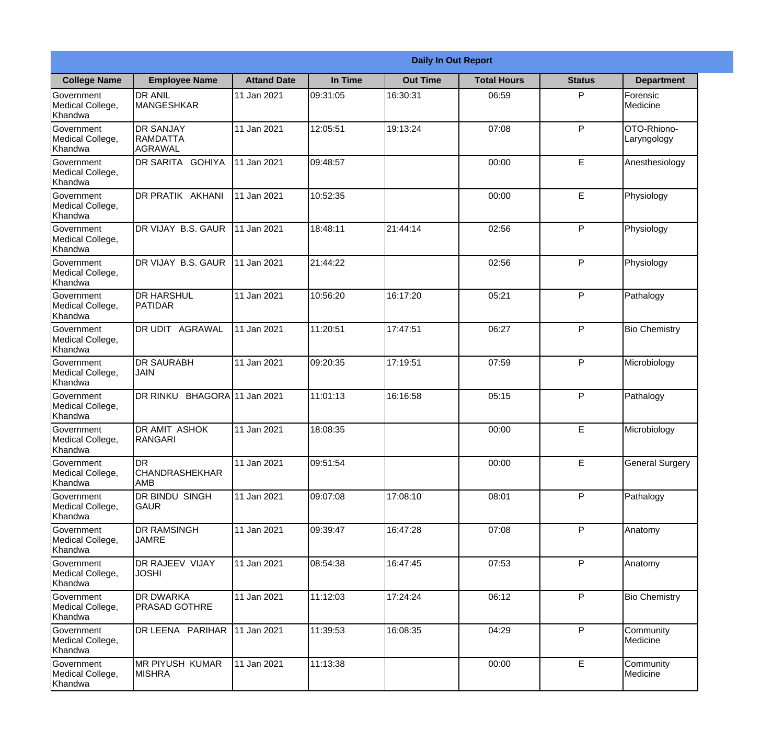|                                                  |                                                       |                     |          | <b>Daily In Out Report</b> |                    |               |                            |
|--------------------------------------------------|-------------------------------------------------------|---------------------|----------|----------------------------|--------------------|---------------|----------------------------|
| <b>College Name</b>                              | <b>Employee Name</b>                                  | <b>Attand Date</b>  | In Time  | <b>Out Time</b>            | <b>Total Hours</b> | <b>Status</b> | <b>Department</b>          |
| Government<br>Medical College,<br>Khandwa        | <b>DR ANIL</b><br><b>MANGESHKAR</b>                   | 11 Jan 2021         | 09:31:05 | 16:30:31                   | 06:59              | P             | Forensic<br>Medicine       |
| Government<br>Medical College,<br>Khandwa        | <b>DR SANJAY</b><br><b>RAMDATTA</b><br><b>AGRAWAL</b> | 11 Jan 2021         | 12:05:51 | 19:13:24                   | 07:08              | P             | OTO-Rhiono-<br>Laryngology |
| <b>Government</b><br>Medical College,<br>Khandwa | <b>DR SARITA GOHIYA</b>                               | 11 Jan 2021         | 09:48:57 |                            | 00:00              | E             | Anesthesiology             |
| Government<br>Medical College,<br>Khandwa        | DR PRATIK AKHANI                                      | 11 Jan 2021         | 10:52:35 |                            | 00:00              | E             | Physiology                 |
| Government<br>Medical College,<br>Khandwa        | DR VIJAY B.S. GAUR                                    | 11 Jan 2021         | 18:48:11 | 21:44:14                   | 02:56              | P             | Physiology                 |
| Government<br>Medical College,<br>Khandwa        | DR VIJAY B.S. GAUR                                    | 11 Jan 2021         | 21:44:22 |                            | 02:56              | P             | Physiology                 |
| Government<br>Medical College,<br>Khandwa        | <b>I</b> DR HARSHUL<br><b>PATIDAR</b>                 | 11 Jan 2021         | 10:56:20 | 16:17:20                   | 05:21              | P             | Pathalogy                  |
| Government<br>Medical College,<br>Khandwa        | DR UDIT AGRAWAL                                       | 11 Jan 2021         | 11:20:51 | 17:47:51                   | 06:27              | P             | <b>Bio Chemistry</b>       |
| Government<br>Medical College,<br>Khandwa        | <b>DR SAURABH</b><br><b>JAIN</b>                      | 11 Jan 2021         | 09:20:35 | 17:19:51                   | 07:59              | P             | Microbiology               |
| Government<br>Medical College,<br>Khandwa        | DR RINKU                                              | BHAGORA 11 Jan 2021 | 11:01:13 | 16:16:58                   | 05:15              | P             | Pathalogy                  |
| Government<br>Medical College,<br>Khandwa        | <b>DR AMIT ASHOK</b><br><b>RANGARI</b>                | 11 Jan 2021         | 18:08:35 |                            | 00:00              | E             | Microbiology               |
| Government<br>Medical College,<br>Khandwa        | DR<br>CHANDRASHEKHAR<br><b>AMB</b>                    | 11 Jan 2021         | 09:51:54 |                            | 00:00              | E             | <b>General Surgery</b>     |
| Government<br>Medical College,<br>Khandwa        | DR BINDU SINGH<br><b>GAUR</b>                         | 11 Jan 2021         | 09:07:08 | 17:08:10                   | 08:01              | P             | Pathalogy                  |
| Government<br>Medical College,<br>Khandwa        | <b>DR RAMSINGH</b><br><b>JAMRE</b>                    | 11 Jan 2021         | 09:39:47 | 16:47:28                   | 07:08              | P             | Anatomy                    |
| Government<br>Medical College,<br>Khandwa        | <b>DR RAJEEV VIJAY</b><br><b>JOSHI</b>                | 11 Jan 2021         | 08:54:38 | 16:47:45                   | 07:53              | P             | Anatomy                    |
| Government<br>Medical College,<br>Khandwa        | <b>DR DWARKA</b><br><b>PRASAD GOTHRE</b>              | 11 Jan 2021         | 11:12:03 | 17:24:24                   | 06:12              | P             | <b>Bio Chemistry</b>       |
| Government<br>Medical College,<br>Khandwa        | DR LEENA PARIHAR                                      | 11 Jan 2021         | 11:39:53 | 16:08:35                   | 04:29              | P             | Community<br>Medicine      |
| Government<br>Medical College,<br>Khandwa        | <b>MR PIYUSH KUMAR</b><br><b>MISHRA</b>               | 11 Jan 2021         | 11:13:38 |                            | 00:00              | $\mathsf E$   | Community<br>Medicine      |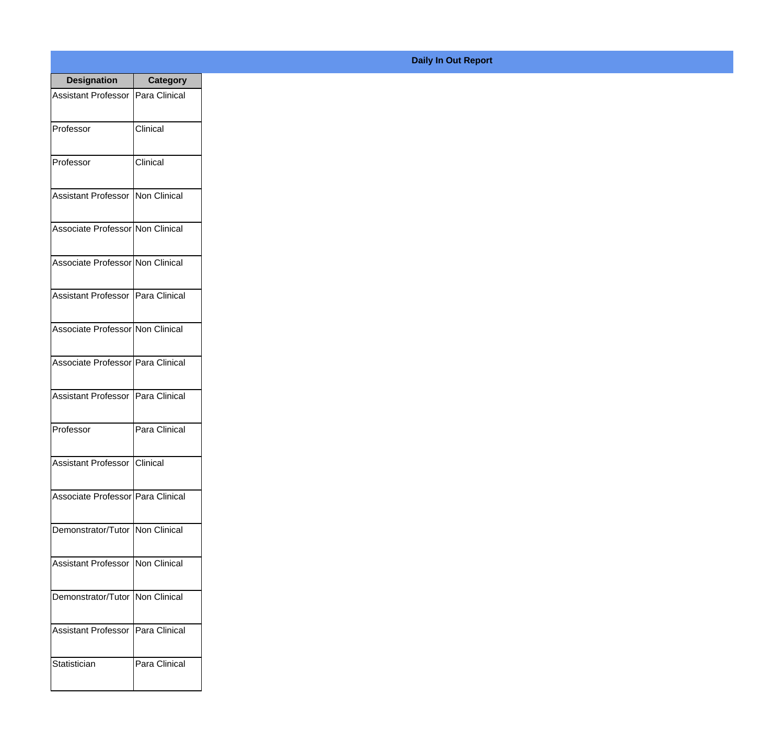| <b>Designation</b>                  | <b>Category</b> |
|-------------------------------------|-----------------|
| Assistant Professor   Para Clinical |                 |
| Professor                           | Clinical        |
| Professor                           | Clinical        |
| Assistant Professor   Non Clinical  |                 |
| Associate Professor Non Clinical    |                 |
| Associate Professor Non Clinical    |                 |
| Assistant Professor Para Clinical   |                 |
| Associate Professor Non Clinical    |                 |
| Associate Professor Para Clinical   |                 |
| Assistant Professor   Para Clinical |                 |
| Professor                           | Para Clinical   |
| Assistant Professor Clinical        |                 |
| Associate Professor   Para Clinical |                 |
| Demonstrator/Tutor   Non Clinical   |                 |
| <b>Assistant Professor</b>          | Non Clinical    |
| Demonstrator/Tutor                  | Non Clinical    |
| <b>Assistant Professor</b>          | Para Clinical   |
| Statistician                        | Para Clinical   |

## **Daily In Out Report**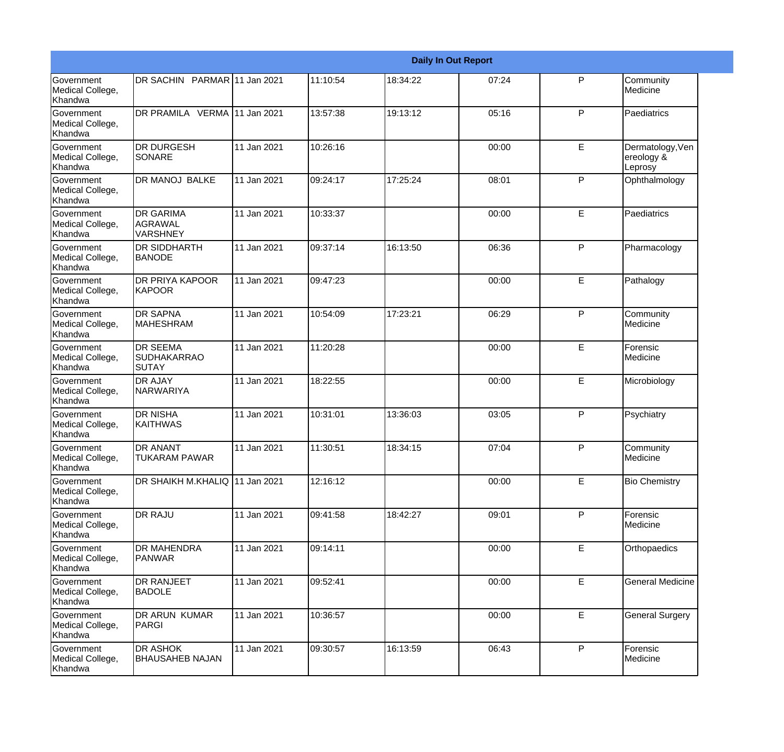|                                                  |                                                       |             |          |          | <b>Daily In Out Report</b> |              |                                           |
|--------------------------------------------------|-------------------------------------------------------|-------------|----------|----------|----------------------------|--------------|-------------------------------------------|
| Government<br>Medical College,<br>Khandwa        | DR SACHIN PARMAR 11 Jan 2021                          |             | 11:10:54 | 18:34:22 | 07:24                      | $\mathsf{P}$ | Community<br>Medicine                     |
| <b>Government</b><br>Medical College,<br>Khandwa | DR PRAMILA VERMA 11 Jan 2021                          |             | 13:57:38 | 19:13:12 | 05:16                      | P            | Paediatrics                               |
| <b>Government</b><br>Medical College,<br>Khandwa | <b>DR DURGESH</b><br><b>SONARE</b>                    | 11 Jan 2021 | 10:26:16 |          | 00:00                      | E            | Dermatology, Ven<br>ereology &<br>Leprosy |
| Government<br>Medical College,<br>Khandwa        | <b>DR MANOJ BALKE</b>                                 | 11 Jan 2021 | 09:24:17 | 17:25:24 | 08:01                      | $\mathsf{P}$ | Ophthalmology                             |
| Government<br>Medical College,<br>Khandwa        | <b>DR GARIMA</b><br><b>AGRAWAL</b><br><b>VARSHNEY</b> | 11 Jan 2021 | 10:33:37 |          | 00:00                      | E            | Paediatrics                               |
| <b>Government</b><br>Medical College,<br>Khandwa | DR SIDDHARTH<br><b>BANODE</b>                         | 11 Jan 2021 | 09:37:14 | 16:13:50 | 06:36                      | $\mathsf{P}$ | Pharmacology                              |
| Government<br>Medical College,<br>Khandwa        | <b>DR PRIYA KAPOOR</b><br><b>KAPOOR</b>               | 11 Jan 2021 | 09:47:23 |          | 00:00                      | E            | Pathalogy                                 |
| Government<br>Medical College,<br>Khandwa        | <b>DR SAPNA</b><br><b>MAHESHRAM</b>                   | 11 Jan 2021 | 10:54:09 | 17:23:21 | 06:29                      | P            | Community<br>Medicine                     |
| Government<br>Medical College,<br>Khandwa        | <b>DR SEEMA</b><br><b>SUDHAKARRAO</b><br>ISUTAY       | 11 Jan 2021 | 11:20:28 |          | 00:00                      | E            | Forensic<br>Medicine                      |
| <b>Government</b><br>Medical College,<br>Khandwa | <b>DR AJAY</b><br>NARWARIYA                           | 11 Jan 2021 | 18:22:55 |          | 00:00                      | E            | Microbiology                              |
| <b>Government</b><br>Medical College,<br>Khandwa | <b>DR NISHA</b><br><b>KAITHWAS</b>                    | 11 Jan 2021 | 10:31:01 | 13:36:03 | 03:05                      | $\mathsf{P}$ | Psychiatry                                |
| Government<br>Medical College,<br>Khandwa        | <b>DR ANANT</b><br><b>TUKARAM PAWAR</b>               | 11 Jan 2021 | 11:30:51 | 18:34:15 | 07:04                      | P            | Community<br>Medicine                     |
| Government<br>Medical College,<br>Khandwa        | DR SHAIKH M.KHALIQ 11 Jan 2021                        |             | 12:16:12 |          | 00:00                      | E            | <b>Bio Chemistry</b>                      |
| Government<br>Medical College,<br>Khandwa        | DR RAJU                                               | 11 Jan 2021 | 09:41:58 | 18:42:27 | 09:01                      | P            | Forensic<br>Medicine                      |
| Government<br>Medical College,<br>Khandwa        | <b>DR MAHENDRA</b><br><b>PANWAR</b>                   | 11 Jan 2021 | 09:14:11 |          | 00:00                      | E            | Orthopaedics                              |
| Government<br>Medical College,<br>Khandwa        | <b>DR RANJEET</b><br><b>BADOLE</b>                    | 11 Jan 2021 | 09:52:41 |          | 00:00                      | E            | <b>General Medicine</b>                   |
| Government<br>Medical College,<br>Khandwa        | DR ARUN KUMAR<br>PARGI                                | 11 Jan 2021 | 10:36:57 |          | 00:00                      | E            | <b>General Surgery</b>                    |
| Government<br>Medical College,<br>Khandwa        | DR ASHOK<br><b>BHAUSAHEB NAJAN</b>                    | 11 Jan 2021 | 09:30:57 | 16:13:59 | 06:43                      | P            | Forensic<br>Medicine                      |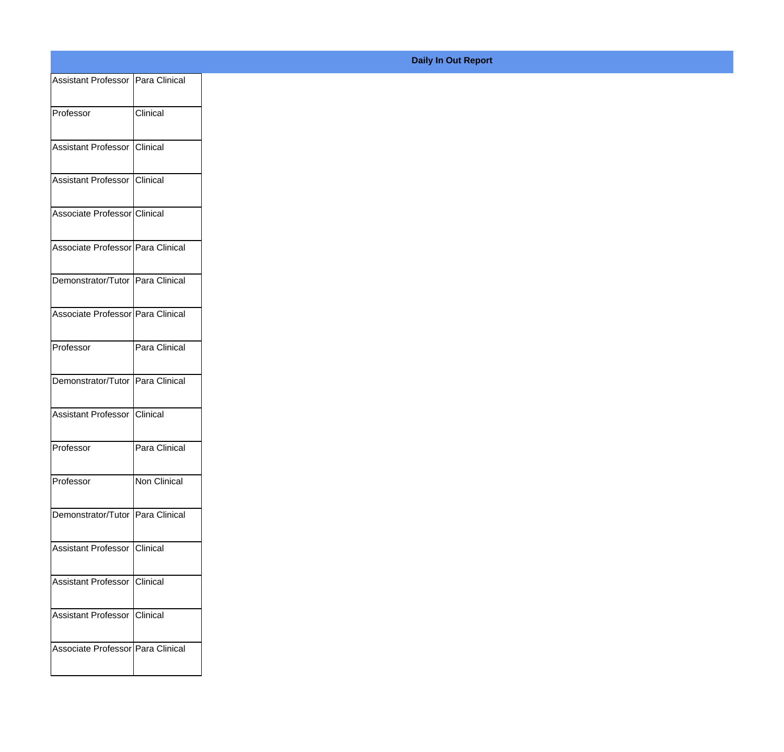| Assistant Professor Para Clinical |                 |
|-----------------------------------|-----------------|
| Professor                         | Clinical        |
|                                   |                 |
| Assistant Professor               | Clinical        |
| Assistant Professor               | <b>Clinical</b> |
|                                   |                 |
| Associate Professor Clinical      |                 |
| Associate Professor Para Clinical |                 |
| Demonstrator/Tutor Para Clinical  |                 |
|                                   |                 |
| Associate Professor Para Clinical |                 |
| Professor                         | Para Clinical   |
| Demonstrator/Tutor Para Clinical  |                 |
|                                   |                 |
| Assistant Professor               | Clinical        |
| Professor                         | Para Clinical   |
|                                   |                 |
| Professor                         | Non Clinical    |
| Demonstrator/Tutor Para Clinical  |                 |
| Assistant Professor Clinical      |                 |
|                                   |                 |
| Assistant Professor               | <b>Clinical</b> |
| Assistant Professor Clinical      |                 |
| Associate Professor Para Clinical |                 |
|                                   |                 |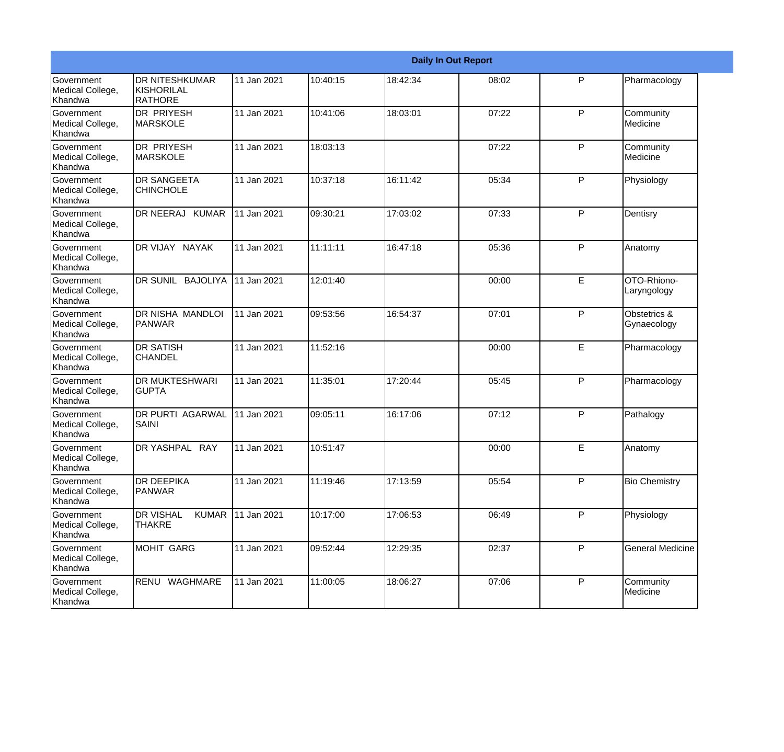|                                                  |                                                   |             |          |          | <b>Daily In Out Report</b> |   |                             |
|--------------------------------------------------|---------------------------------------------------|-------------|----------|----------|----------------------------|---|-----------------------------|
| Government<br>Medical College,<br>Khandwa        | <b>DR NITESHKUMAR</b><br>KISHORILAL<br>RATHORE    | 11 Jan 2021 | 10:40:15 | 18:42:34 | 08:02                      | P | Pharmacology                |
| Government<br>Medical College,<br>Khandwa        | <b>DR PRIYESH</b><br><b>MARSKOLE</b>              | 11 Jan 2021 | 10:41:06 | 18:03:01 | 07:22                      | P | Community<br>Medicine       |
| <b>Government</b><br>Medical College,<br>Khandwa | <b>DR PRIYESH</b><br><b>MARSKOLE</b>              | 11 Jan 2021 | 18:03:13 |          | 07:22                      | P | Community<br>Medicine       |
| Government<br>Medical College,<br>Khandwa        | <b>DR SANGEETA</b><br><b>CHINCHOLE</b>            | 11 Jan 2021 | 10:37:18 | 16:11:42 | 05:34                      | P | Physiology                  |
| Government<br>Medical College,<br>Khandwa        | DR NEERAJ KUMAR                                   | 11 Jan 2021 | 09:30:21 | 17:03:02 | 07:33                      | P | Dentisry                    |
| <b>Government</b><br>Medical College,<br>Khandwa | DR VIJAY NAYAK                                    | 11 Jan 2021 | 11:11:11 | 16:47:18 | 05:36                      | P | Anatomy                     |
| Government<br>Medical College,<br>Khandwa        | DR SUNIL BAJOLIYA                                 | 11 Jan 2021 | 12:01:40 |          | 00:00                      | E | OTO-Rhiono-<br>Laryngology  |
| Government<br>Medical College,<br>Khandwa        | DR NISHA MANDLOI<br>PANWAR                        | 11 Jan 2021 | 09:53:56 | 16:54:37 | 07:01                      | P | Obstetrics &<br>Gynaecology |
| <b>Government</b><br>Medical College,<br>Khandwa | <b>DR SATISH</b><br><b>CHANDEL</b>                | 11 Jan 2021 | 11:52:16 |          | 00:00                      | E | Pharmacology                |
| <b>Government</b><br>Medical College,<br>Khandwa | <b>DR MUKTESHWARI</b><br><b>GUPTA</b>             | 11 Jan 2021 | 11:35:01 | 17:20:44 | 05:45                      | P | Pharmacology                |
| <b>Government</b><br>Medical College,<br>Khandwa | <b>DR PURTI AGARWAL</b><br>SAINI                  | 11 Jan 2021 | 09:05:11 | 16:17:06 | 07:12                      | P | Pathalogy                   |
| Government<br>Medical College,<br>Khandwa        | DR YASHPAL RAY                                    | 11 Jan 2021 | 10:51:47 |          | 00:00                      | E | Anatomy                     |
| Government<br>Medical College,<br>Khandwa        | <b>DR DEEPIKA</b><br><b>PANWAR</b>                | 11 Jan 2021 | 11:19:46 | 17:13:59 | 05:54                      | P | <b>Bio Chemistry</b>        |
| Government<br>Medical College,<br>Khandwa        | <b>DR VISHAL</b><br><b>KUMAR</b><br><b>THAKRE</b> | 11 Jan 2021 | 10:17:00 | 17:06:53 | 06:49                      | P | Physiology                  |
| Government<br>Medical College,<br>Khandwa        | <b>MOHIT GARG</b>                                 | 11 Jan 2021 | 09:52:44 | 12:29:35 | 02:37                      | P | <b>General Medicine</b>     |
| Government<br>Medical College,<br>Khandwa        | RENU WAGHMARE                                     | 11 Jan 2021 | 11:00:05 | 18:06:27 | 07:06                      | P | Community<br>Medicine       |